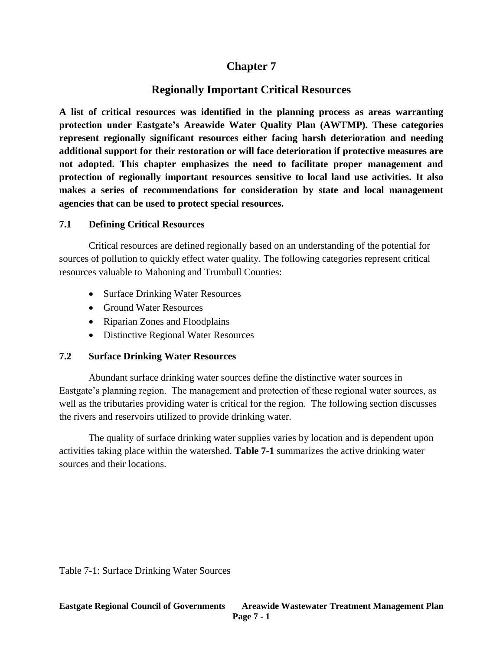# **Chapter 7**

# **Regionally Important Critical Resources**

**A list of critical resources was identified in the planning process as areas warranting protection under Eastgate's Areawide Water Quality Plan (AWTMP). These categories represent regionally significant resources either facing harsh deterioration and needing additional support for their restoration or will face deterioration if protective measures are not adopted. This chapter emphasizes the need to facilitate proper management and protection of regionally important resources sensitive to local land use activities. It also makes a series of recommendations for consideration by state and local management agencies that can be used to protect special resources.**

### **7.1 Defining Critical Resources**

Critical resources are defined regionally based on an understanding of the potential for sources of pollution to quickly effect water quality. The following categories represent critical resources valuable to Mahoning and Trumbull Counties:

- Surface Drinking Water Resources
- Ground Water Resources
- Riparian Zones and Floodplains
- Distinctive Regional Water Resources

### **7.2 Surface Drinking Water Resources**

Abundant surface drinking water sources define the distinctive water sources in Eastgate's planning region. The management and protection of these regional water sources, as well as the tributaries providing water is critical for the region. The following section discusses the rivers and reservoirs utilized to provide drinking water.

The quality of surface drinking water supplies varies by location and is dependent upon activities taking place within the watershed. **Table 7-1** summarizes the active drinking water sources and their locations.

Table 7-1: Surface Drinking Water Sources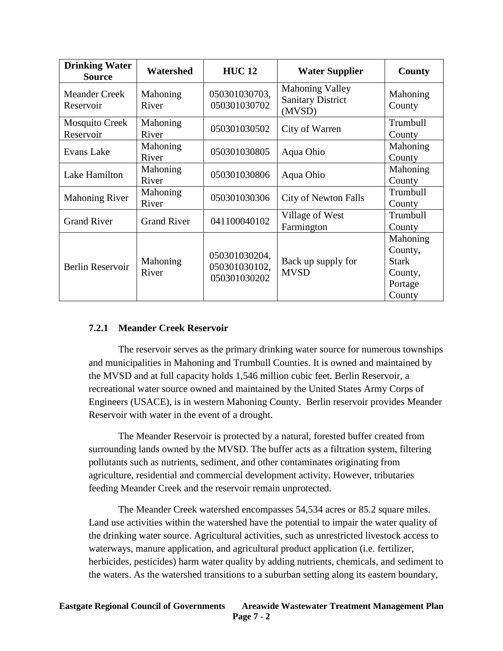| <b>Drinking Water</b><br><b>Source</b> | Watershed          | <b>HUC12</b>                                   | <b>Water Supplier</b>                                        | County                                                              |
|----------------------------------------|--------------------|------------------------------------------------|--------------------------------------------------------------|---------------------------------------------------------------------|
| <b>Meander Creek</b><br>Reservoir      | Mahoning<br>River  | 050301030703,<br>050301030702                  | <b>Mahoning Valley</b><br><b>Sanitary District</b><br>(MVSD) | Mahoning<br>County                                                  |
| <b>Mosquito Creek</b><br>Reservoir     | Mahoning<br>River  | 050301030502                                   | City of Warren                                               | Trumbull<br>County                                                  |
| Evans Lake                             | Mahoning<br>River  | 050301030805                                   | Aqua Ohio                                                    | Mahoning<br>County                                                  |
| Lake Hamilton                          | Mahoning<br>River  | 050301030806                                   | Aqua Ohio                                                    | Mahoning<br>County                                                  |
| <b>Mahoning River</b>                  | Mahoning<br>River  | 050301030306                                   | <b>City of Newton Falls</b>                                  | Trumbull<br>County                                                  |
| <b>Grand River</b>                     | <b>Grand River</b> | 041100040102                                   | Village of West<br>Farmington                                | Trumbull<br>County                                                  |
| <b>Berlin Reservoir</b>                | Mahoning<br>River  | 050301030204,<br>050301030102,<br>050301030202 | Back up supply for<br><b>MVSD</b>                            | Mahoning<br>County,<br><b>Stark</b><br>County,<br>Portage<br>County |

## **7.2.1 Meander Creek Reservoir**

The reservoir serves as the primary drinking water source for numerous townships and municipalities in Mahoning and Trumbull Counties. It is owned and maintained by the MVSD and at full capacity holds 1,546 million cubic feet. Berlin Reservoir, a recreational water source owned and maintained by the United States Army Corps of Engineers (USACE), is in western Mahoning County. Berlin reservoir provides Meander Reservoir with water in the event of a drought.

The Meander Reservoir is protected by a natural, forested buffer created from surrounding lands owned by the MVSD. The buffer acts as a filtration system, filtering pollutants such as nutrients, sediment, and other contaminates originating from agriculture, residential and commercial development activity. However, tributaries feeding Meander Creek and the reservoir remain unprotected.

The Meander Creek watershed encompasses 54,534 acres or 85.2 square miles. Land use activities within the watershed have the potential to impair the water quality of the drinking water source. Agricultural activities, such as unrestricted livestock access to waterways, manure application, and agricultural product application (i.e. fertilizer, herbicides, pesticides) harm water quality by adding nutrients, chemicals, and sediment to the waters. As the watershed transitions to a suburban setting along its eastern boundary,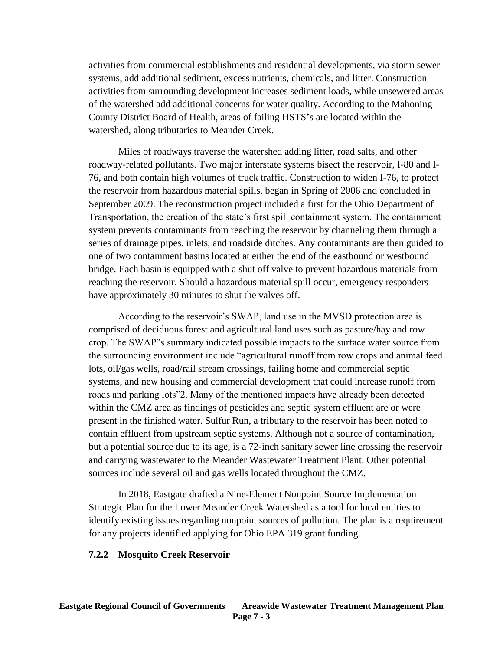activities from commercial establishments and residential developments, via storm sewer systems, add additional sediment, excess nutrients, chemicals, and litter. Construction activities from surrounding development increases sediment loads, while unsewered areas of the watershed add additional concerns for water quality. According to the Mahoning County District Board of Health, areas of failing HSTS's are located within the watershed, along tributaries to Meander Creek.

Miles of roadways traverse the watershed adding litter, road salts, and other roadway-related pollutants. Two major interstate systems bisect the reservoir, I-80 and I-76, and both contain high volumes of truck traffic. Construction to widen I-76, to protect the reservoir from hazardous material spills, began in Spring of 2006 and concluded in September 2009. The reconstruction project included a first for the Ohio Department of Transportation, the creation of the state's first spill containment system. The containment system prevents contaminants from reaching the reservoir by channeling them through a series of drainage pipes, inlets, and roadside ditches. Any contaminants are then guided to one of two containment basins located at either the end of the eastbound or westbound bridge. Each basin is equipped with a shut off valve to prevent hazardous materials from reaching the reservoir. Should a hazardous material spill occur, emergency responders have approximately 30 minutes to shut the valves off.

According to the reservoir's SWAP, land use in the MVSD protection area is comprised of deciduous forest and agricultural land uses such as pasture/hay and row crop. The SWAP"s summary indicated possible impacts to the surface water source from the surrounding environment include "agricultural runoff from row crops and animal feed lots, oil/gas wells, road/rail stream crossings, failing home and commercial septic systems, and new housing and commercial development that could increase runoff from roads and parking lots"2. Many of the mentioned impacts have already been detected within the CMZ area as findings of pesticides and septic system effluent are or were present in the finished water. Sulfur Run, a tributary to the reservoir has been noted to contain effluent from upstream septic systems. Although not a source of contamination, but a potential source due to its age, is a 72-inch sanitary sewer line crossing the reservoir and carrying wastewater to the Meander Wastewater Treatment Plant. Other potential sources include several oil and gas wells located throughout the CMZ.

In 2018, Eastgate drafted a Nine-Element Nonpoint Source Implementation Strategic Plan for the Lower Meander Creek Watershed as a tool for local entities to identify existing issues regarding nonpoint sources of pollution. The plan is a requirement for any projects identified applying for Ohio EPA 319 grant funding.

#### **7.2.2 Mosquito Creek Reservoir**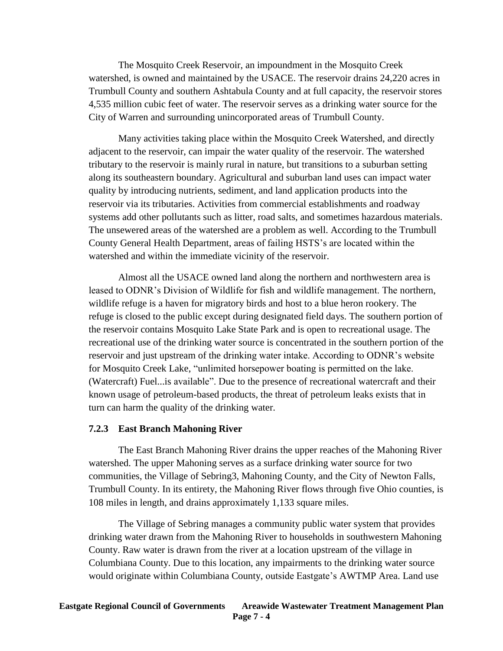The Mosquito Creek Reservoir, an impoundment in the Mosquito Creek watershed, is owned and maintained by the USACE. The reservoir drains 24,220 acres in Trumbull County and southern Ashtabula County and at full capacity, the reservoir stores 4,535 million cubic feet of water. The reservoir serves as a drinking water source for the City of Warren and surrounding unincorporated areas of Trumbull County.

Many activities taking place within the Mosquito Creek Watershed, and directly adjacent to the reservoir, can impair the water quality of the reservoir. The watershed tributary to the reservoir is mainly rural in nature, but transitions to a suburban setting along its southeastern boundary. Agricultural and suburban land uses can impact water quality by introducing nutrients, sediment, and land application products into the reservoir via its tributaries. Activities from commercial establishments and roadway systems add other pollutants such as litter, road salts, and sometimes hazardous materials. The unsewered areas of the watershed are a problem as well. According to the Trumbull County General Health Department, areas of failing HSTS's are located within the watershed and within the immediate vicinity of the reservoir.

Almost all the USACE owned land along the northern and northwestern area is leased to ODNR's Division of Wildlife for fish and wildlife management. The northern, wildlife refuge is a haven for migratory birds and host to a blue heron rookery. The refuge is closed to the public except during designated field days. The southern portion of the reservoir contains Mosquito Lake State Park and is open to recreational usage. The recreational use of the drinking water source is concentrated in the southern portion of the reservoir and just upstream of the drinking water intake. According to ODNR's website for Mosquito Creek Lake, "unlimited horsepower boating is permitted on the lake. (Watercraft) Fuel...is available". Due to the presence of recreational watercraft and their known usage of petroleum-based products, the threat of petroleum leaks exists that in turn can harm the quality of the drinking water.

#### **7.2.3 East Branch Mahoning River**

The East Branch Mahoning River drains the upper reaches of the Mahoning River watershed. The upper Mahoning serves as a surface drinking water source for two communities, the Village of Sebring3, Mahoning County, and the City of Newton Falls, Trumbull County. In its entirety, the Mahoning River flows through five Ohio counties, is 108 miles in length, and drains approximately 1,133 square miles.

The Village of Sebring manages a community public water system that provides drinking water drawn from the Mahoning River to households in southwestern Mahoning County. Raw water is drawn from the river at a location upstream of the village in Columbiana County. Due to this location, any impairments to the drinking water source would originate within Columbiana County, outside Eastgate's AWTMP Area. Land use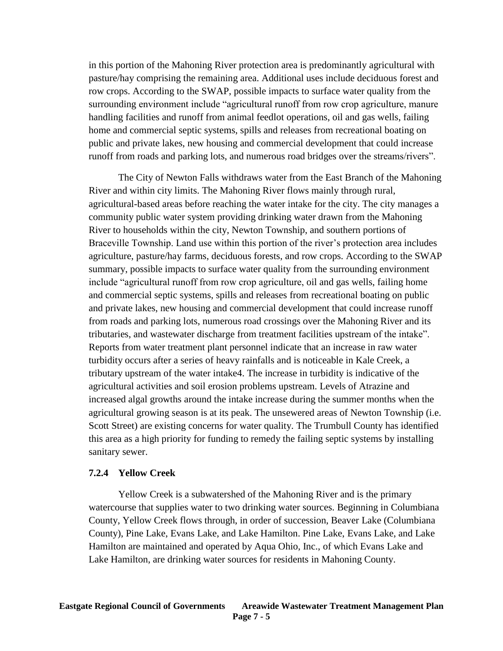in this portion of the Mahoning River protection area is predominantly agricultural with pasture/hay comprising the remaining area. Additional uses include deciduous forest and row crops. According to the SWAP, possible impacts to surface water quality from the surrounding environment include "agricultural runoff from row crop agriculture, manure handling facilities and runoff from animal feedlot operations, oil and gas wells, failing home and commercial septic systems, spills and releases from recreational boating on public and private lakes, new housing and commercial development that could increase runoff from roads and parking lots, and numerous road bridges over the streams/rivers".

The City of Newton Falls withdraws water from the East Branch of the Mahoning River and within city limits. The Mahoning River flows mainly through rural, agricultural-based areas before reaching the water intake for the city. The city manages a community public water system providing drinking water drawn from the Mahoning River to households within the city, Newton Township, and southern portions of Braceville Township. Land use within this portion of the river's protection area includes agriculture, pasture/hay farms, deciduous forests, and row crops. According to the SWAP summary, possible impacts to surface water quality from the surrounding environment include "agricultural runoff from row crop agriculture, oil and gas wells, failing home and commercial septic systems, spills and releases from recreational boating on public and private lakes, new housing and commercial development that could increase runoff from roads and parking lots, numerous road crossings over the Mahoning River and its tributaries, and wastewater discharge from treatment facilities upstream of the intake". Reports from water treatment plant personnel indicate that an increase in raw water turbidity occurs after a series of heavy rainfalls and is noticeable in Kale Creek, a tributary upstream of the water intake4. The increase in turbidity is indicative of the agricultural activities and soil erosion problems upstream. Levels of Atrazine and increased algal growths around the intake increase during the summer months when the agricultural growing season is at its peak. The unsewered areas of Newton Township (i.e. Scott Street) are existing concerns for water quality. The Trumbull County has identified this area as a high priority for funding to remedy the failing septic systems by installing sanitary sewer.

#### **7.2.4 Yellow Creek**

Yellow Creek is a subwatershed of the Mahoning River and is the primary watercourse that supplies water to two drinking water sources. Beginning in Columbiana County, Yellow Creek flows through, in order of succession, Beaver Lake (Columbiana County), Pine Lake, Evans Lake, and Lake Hamilton. Pine Lake, Evans Lake, and Lake Hamilton are maintained and operated by Aqua Ohio, Inc., of which Evans Lake and Lake Hamilton, are drinking water sources for residents in Mahoning County.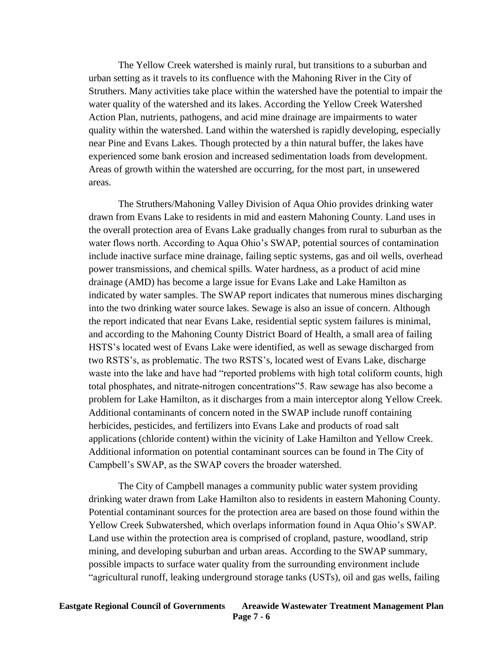The Yellow Creek watershed is mainly rural, but transitions to a suburban and urban setting as it travels to its confluence with the Mahoning River in the City of Struthers. Many activities take place within the watershed have the potential to impair the water quality of the watershed and its lakes. According the Yellow Creek Watershed Action Plan, nutrients, pathogens, and acid mine drainage are impairments to water quality within the watershed. Land within the watershed is rapidly developing, especially near Pine and Evans Lakes. Though protected by a thin natural buffer, the lakes have experienced some bank erosion and increased sedimentation loads from development. Areas of growth within the watershed are occurring, for the most part, in unsewered areas.

The Struthers/Mahoning Valley Division of Aqua Ohio provides drinking water drawn from Evans Lake to residents in mid and eastern Mahoning County. Land uses in the overall protection area of Evans Lake gradually changes from rural to suburban as the water flows north. According to Aqua Ohio's SWAP, potential sources of contamination include inactive surface mine drainage, failing septic systems, gas and oil wells, overhead power transmissions, and chemical spills. Water hardness, as a product of acid mine drainage (AMD) has become a large issue for Evans Lake and Lake Hamilton as indicated by water samples. The SWAP report indicates that numerous mines discharging into the two drinking water source lakes. Sewage is also an issue of concern. Although the report indicated that near Evans Lake, residential septic system failures is minimal, and according to the Mahoning County District Board of Health, a small area of failing HSTS's located west of Evans Lake were identified, as well as sewage discharged from two RSTS's, as problematic. The two RSTS's, located west of Evans Lake, discharge waste into the lake and have had "reported problems with high total coliform counts, high total phosphates, and nitrate-nitrogen concentrations"5. Raw sewage has also become a problem for Lake Hamilton, as it discharges from a main interceptor along Yellow Creek. Additional contaminants of concern noted in the SWAP include runoff containing herbicides, pesticides, and fertilizers into Evans Lake and products of road salt applications (chloride content) within the vicinity of Lake Hamilton and Yellow Creek. Additional information on potential contaminant sources can be found in The City of Campbell's SWAP, as the SWAP covers the broader watershed.

The City of Campbell manages a community public water system providing drinking water drawn from Lake Hamilton also to residents in eastern Mahoning County. Potential contaminant sources for the protection area are based on those found within the Yellow Creek Subwatershed, which overlaps information found in Aqua Ohio's SWAP. Land use within the protection area is comprised of cropland, pasture, woodland, strip mining, and developing suburban and urban areas. According to the SWAP summary, possible impacts to surface water quality from the surrounding environment include "agricultural runoff, leaking underground storage tanks (USTs), oil and gas wells, failing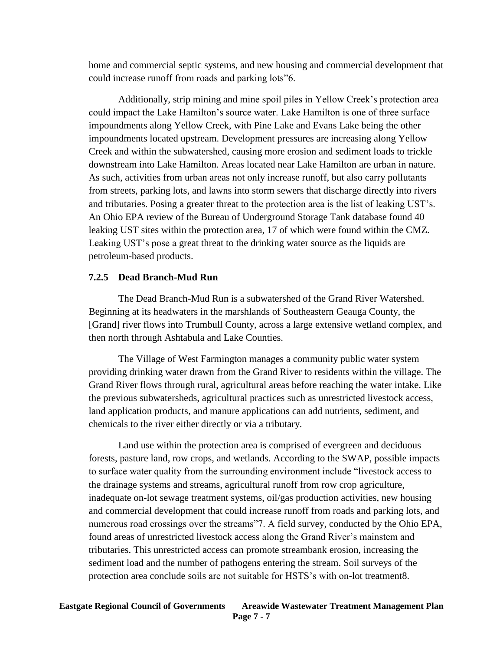home and commercial septic systems, and new housing and commercial development that could increase runoff from roads and parking lots"6.

Additionally, strip mining and mine spoil piles in Yellow Creek's protection area could impact the Lake Hamilton's source water. Lake Hamilton is one of three surface impoundments along Yellow Creek, with Pine Lake and Evans Lake being the other impoundments located upstream. Development pressures are increasing along Yellow Creek and within the subwatershed, causing more erosion and sediment loads to trickle downstream into Lake Hamilton. Areas located near Lake Hamilton are urban in nature. As such, activities from urban areas not only increase runoff, but also carry pollutants from streets, parking lots, and lawns into storm sewers that discharge directly into rivers and tributaries. Posing a greater threat to the protection area is the list of leaking UST's. An Ohio EPA review of the Bureau of Underground Storage Tank database found 40 leaking UST sites within the protection area, 17 of which were found within the CMZ. Leaking UST's pose a great threat to the drinking water source as the liquids are petroleum-based products.

#### **7.2.5 Dead Branch-Mud Run**

The Dead Branch-Mud Run is a subwatershed of the Grand River Watershed. Beginning at its headwaters in the marshlands of Southeastern Geauga County, the [Grand] river flows into Trumbull County, across a large extensive wetland complex, and then north through Ashtabula and Lake Counties.

The Village of West Farmington manages a community public water system providing drinking water drawn from the Grand River to residents within the village. The Grand River flows through rural, agricultural areas before reaching the water intake. Like the previous subwatersheds, agricultural practices such as unrestricted livestock access, land application products, and manure applications can add nutrients, sediment, and chemicals to the river either directly or via a tributary.

Land use within the protection area is comprised of evergreen and deciduous forests, pasture land, row crops, and wetlands. According to the SWAP, possible impacts to surface water quality from the surrounding environment include "livestock access to the drainage systems and streams, agricultural runoff from row crop agriculture, inadequate on-lot sewage treatment systems, oil/gas production activities, new housing and commercial development that could increase runoff from roads and parking lots, and numerous road crossings over the streams"7. A field survey, conducted by the Ohio EPA, found areas of unrestricted livestock access along the Grand River's mainstem and tributaries. This unrestricted access can promote streambank erosion, increasing the sediment load and the number of pathogens entering the stream. Soil surveys of the protection area conclude soils are not suitable for HSTS's with on-lot treatment8.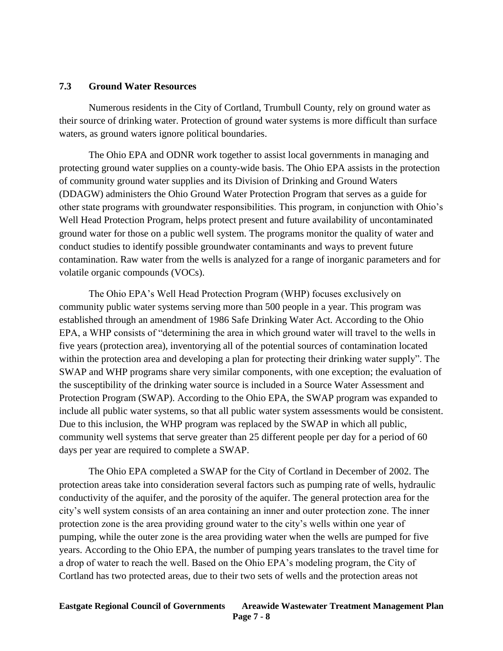#### **7.3 Ground Water Resources**

Numerous residents in the City of Cortland, Trumbull County, rely on ground water as their source of drinking water. Protection of ground water systems is more difficult than surface waters, as ground waters ignore political boundaries.

The Ohio EPA and ODNR work together to assist local governments in managing and protecting ground water supplies on a county-wide basis. The Ohio EPA assists in the protection of community ground water supplies and its Division of Drinking and Ground Waters (DDAGW) administers the Ohio Ground Water Protection Program that serves as a guide for other state programs with groundwater responsibilities. This program, in conjunction with Ohio's Well Head Protection Program, helps protect present and future availability of uncontaminated ground water for those on a public well system. The programs monitor the quality of water and conduct studies to identify possible groundwater contaminants and ways to prevent future contamination. Raw water from the wells is analyzed for a range of inorganic parameters and for volatile organic compounds (VOCs).

The Ohio EPA's Well Head Protection Program (WHP) focuses exclusively on community public water systems serving more than 500 people in a year. This program was established through an amendment of 1986 Safe Drinking Water Act. According to the Ohio EPA, a WHP consists of "determining the area in which ground water will travel to the wells in five years (protection area), inventorying all of the potential sources of contamination located within the protection area and developing a plan for protecting their drinking water supply". The SWAP and WHP programs share very similar components, with one exception; the evaluation of the susceptibility of the drinking water source is included in a Source Water Assessment and Protection Program (SWAP). According to the Ohio EPA, the SWAP program was expanded to include all public water systems, so that all public water system assessments would be consistent. Due to this inclusion, the WHP program was replaced by the SWAP in which all public, community well systems that serve greater than 25 different people per day for a period of 60 days per year are required to complete a SWAP.

The Ohio EPA completed a SWAP for the City of Cortland in December of 2002. The protection areas take into consideration several factors such as pumping rate of wells, hydraulic conductivity of the aquifer, and the porosity of the aquifer. The general protection area for the city's well system consists of an area containing an inner and outer protection zone. The inner protection zone is the area providing ground water to the city's wells within one year of pumping, while the outer zone is the area providing water when the wells are pumped for five years. According to the Ohio EPA, the number of pumping years translates to the travel time for a drop of water to reach the well. Based on the Ohio EPA's modeling program, the City of Cortland has two protected areas, due to their two sets of wells and the protection areas not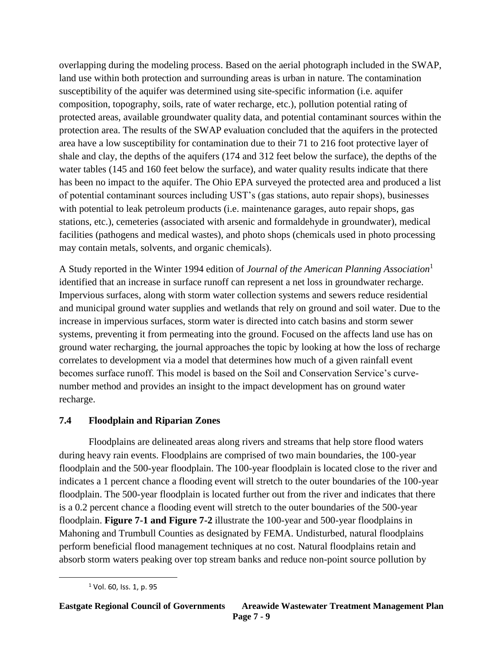overlapping during the modeling process. Based on the aerial photograph included in the SWAP, land use within both protection and surrounding areas is urban in nature. The contamination susceptibility of the aquifer was determined using site-specific information (i.e. aquifer composition, topography, soils, rate of water recharge, etc.), pollution potential rating of protected areas, available groundwater quality data, and potential contaminant sources within the protection area. The results of the SWAP evaluation concluded that the aquifers in the protected area have a low susceptibility for contamination due to their 71 to 216 foot protective layer of shale and clay, the depths of the aquifers (174 and 312 feet below the surface), the depths of the water tables (145 and 160 feet below the surface), and water quality results indicate that there has been no impact to the aquifer. The Ohio EPA surveyed the protected area and produced a list of potential contaminant sources including UST's (gas stations, auto repair shops), businesses with potential to leak petroleum products (i.e. maintenance garages, auto repair shops, gas stations, etc.), cemeteries (associated with arsenic and formaldehyde in groundwater), medical facilities (pathogens and medical wastes), and photo shops (chemicals used in photo processing may contain metals, solvents, and organic chemicals).

A Study reported in the Winter 1994 edition of *Journal of the American Planning Association*<sup>1</sup> identified that an increase in surface runoff can represent a net loss in groundwater recharge. Impervious surfaces, along with storm water collection systems and sewers reduce residential and municipal ground water supplies and wetlands that rely on ground and soil water. Due to the increase in impervious surfaces, storm water is directed into catch basins and storm sewer systems, preventing it from permeating into the ground. Focused on the affects land use has on ground water recharging, the journal approaches the topic by looking at how the loss of recharge correlates to development via a model that determines how much of a given rainfall event becomes surface runoff. This model is based on the Soil and Conservation Service's curvenumber method and provides an insight to the impact development has on ground water recharge.

# **7.4 Floodplain and Riparian Zones**

Floodplains are delineated areas along rivers and streams that help store flood waters during heavy rain events. Floodplains are comprised of two main boundaries, the 100-year floodplain and the 500-year floodplain. The 100-year floodplain is located close to the river and indicates a 1 percent chance a flooding event will stretch to the outer boundaries of the 100-year floodplain. The 500-year floodplain is located further out from the river and indicates that there is a 0.2 percent chance a flooding event will stretch to the outer boundaries of the 500-year floodplain. **Figure 7-1 and Figure 7-2** illustrate the 100-year and 500-year floodplains in Mahoning and Trumbull Counties as designated by FEMA. Undisturbed, natural floodplains perform beneficial flood management techniques at no cost. Natural floodplains retain and absorb storm waters peaking over top stream banks and reduce non-point source pollution by

 $\overline{\phantom{a}}$ 

<sup>&</sup>lt;sup>1</sup> Vol. 60, Iss. 1, p. 95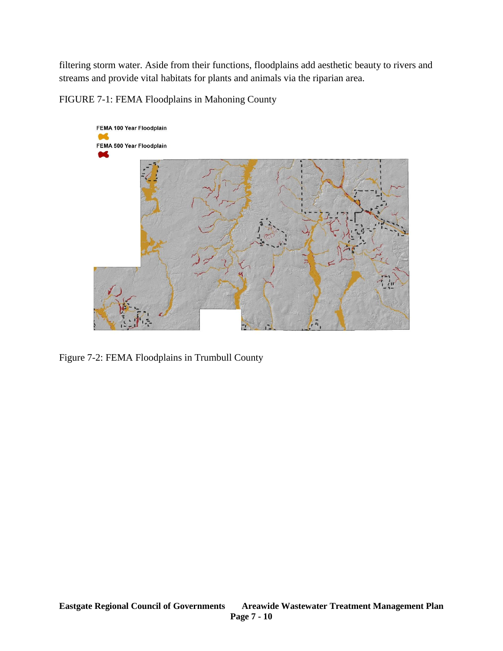filtering storm water. Aside from their functions, floodplains add aesthetic beauty to rivers and streams and provide vital habitats for plants and animals via the riparian area.

FIGURE 7-1: FEMA Floodplains in Mahoning County



Figure 7-2: FEMA Floodplains in Trumbull County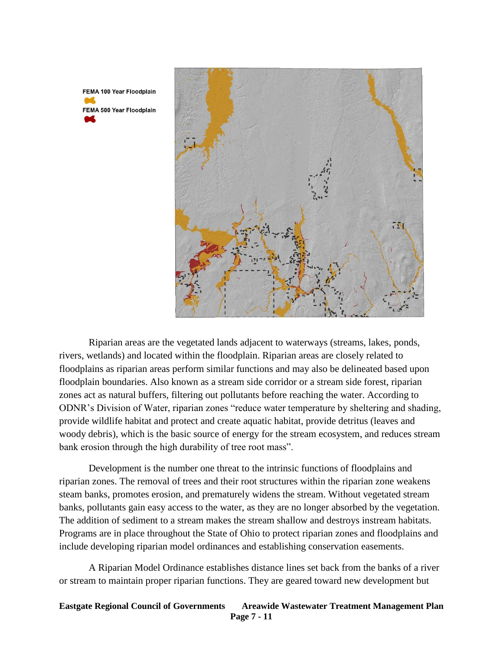FEMA 100 Year Floodplain FEMA 500 Year Floodplain



Riparian areas are the vegetated lands adjacent to waterways (streams, lakes, ponds, rivers, wetlands) and located within the floodplain. Riparian areas are closely related to floodplains as riparian areas perform similar functions and may also be delineated based upon floodplain boundaries. Also known as a stream side corridor or a stream side forest, riparian zones act as natural buffers, filtering out pollutants before reaching the water. According to ODNR's Division of Water, riparian zones "reduce water temperature by sheltering and shading, provide wildlife habitat and protect and create aquatic habitat, provide detritus (leaves and woody debris), which is the basic source of energy for the stream ecosystem, and reduces stream bank erosion through the high durability of tree root mass".

Development is the number one threat to the intrinsic functions of floodplains and riparian zones. The removal of trees and their root structures within the riparian zone weakens steam banks, promotes erosion, and prematurely widens the stream. Without vegetated stream banks, pollutants gain easy access to the water, as they are no longer absorbed by the vegetation. The addition of sediment to a stream makes the stream shallow and destroys instream habitats. Programs are in place throughout the State of Ohio to protect riparian zones and floodplains and include developing riparian model ordinances and establishing conservation easements.

A Riparian Model Ordinance establishes distance lines set back from the banks of a river or stream to maintain proper riparian functions. They are geared toward new development but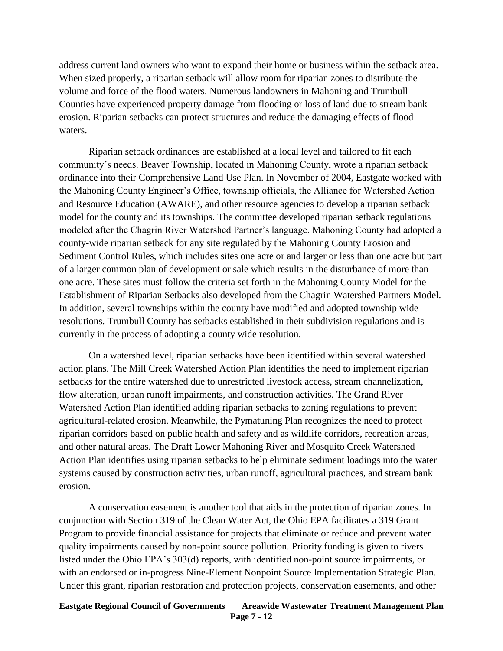address current land owners who want to expand their home or business within the setback area. When sized properly, a riparian setback will allow room for riparian zones to distribute the volume and force of the flood waters. Numerous landowners in Mahoning and Trumbull Counties have experienced property damage from flooding or loss of land due to stream bank erosion. Riparian setbacks can protect structures and reduce the damaging effects of flood waters.

Riparian setback ordinances are established at a local level and tailored to fit each community's needs. Beaver Township, located in Mahoning County, wrote a riparian setback ordinance into their Comprehensive Land Use Plan. In November of 2004, Eastgate worked with the Mahoning County Engineer's Office, township officials, the Alliance for Watershed Action and Resource Education (AWARE), and other resource agencies to develop a riparian setback model for the county and its townships. The committee developed riparian setback regulations modeled after the Chagrin River Watershed Partner's language. Mahoning County had adopted a county-wide riparian setback for any site regulated by the Mahoning County Erosion and Sediment Control Rules, which includes sites one acre or and larger or less than one acre but part of a larger common plan of development or sale which results in the disturbance of more than one acre. These sites must follow the criteria set forth in the Mahoning County Model for the Establishment of Riparian Setbacks also developed from the Chagrin Watershed Partners Model. In addition, several townships within the county have modified and adopted township wide resolutions. Trumbull County has setbacks established in their subdivision regulations and is currently in the process of adopting a county wide resolution.

On a watershed level, riparian setbacks have been identified within several watershed action plans. The Mill Creek Watershed Action Plan identifies the need to implement riparian setbacks for the entire watershed due to unrestricted livestock access, stream channelization, flow alteration, urban runoff impairments, and construction activities. The Grand River Watershed Action Plan identified adding riparian setbacks to zoning regulations to prevent agricultural-related erosion. Meanwhile, the Pymatuning Plan recognizes the need to protect riparian corridors based on public health and safety and as wildlife corridors, recreation areas, and other natural areas. The Draft Lower Mahoning River and Mosquito Creek Watershed Action Plan identifies using riparian setbacks to help eliminate sediment loadings into the water systems caused by construction activities, urban runoff, agricultural practices, and stream bank erosion.

A conservation easement is another tool that aids in the protection of riparian zones. In conjunction with Section 319 of the Clean Water Act, the Ohio EPA facilitates a 319 Grant Program to provide financial assistance for projects that eliminate or reduce and prevent water quality impairments caused by non-point source pollution. Priority funding is given to rivers listed under the Ohio EPA's 303(d) reports, with identified non-point source impairments, or with an endorsed or in-progress Nine-Element Nonpoint Source Implementation Strategic Plan. Under this grant, riparian restoration and protection projects, conservation easements, and other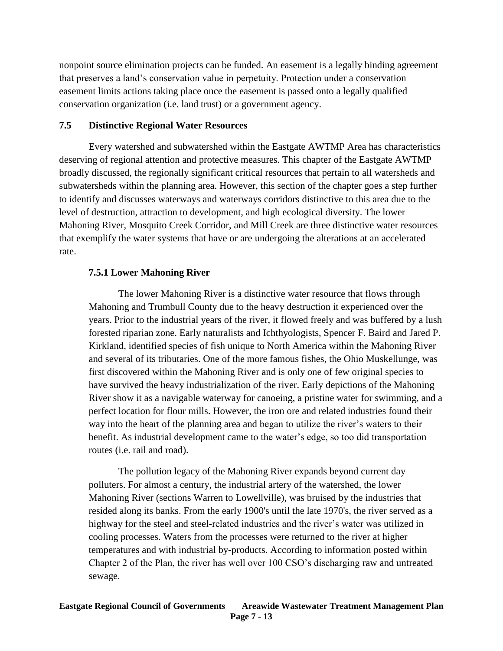nonpoint source elimination projects can be funded. An easement is a legally binding agreement that preserves a land's conservation value in perpetuity. Protection under a conservation easement limits actions taking place once the easement is passed onto a legally qualified conservation organization (i.e. land trust) or a government agency.

### **7.5 Distinctive Regional Water Resources**

Every watershed and subwatershed within the Eastgate AWTMP Area has characteristics deserving of regional attention and protective measures. This chapter of the Eastgate AWTMP broadly discussed, the regionally significant critical resources that pertain to all watersheds and subwatersheds within the planning area. However, this section of the chapter goes a step further to identify and discusses waterways and waterways corridors distinctive to this area due to the level of destruction, attraction to development, and high ecological diversity. The lower Mahoning River, Mosquito Creek Corridor, and Mill Creek are three distinctive water resources that exemplify the water systems that have or are undergoing the alterations at an accelerated rate.

## **7.5.1 Lower Mahoning River**

The lower Mahoning River is a distinctive water resource that flows through Mahoning and Trumbull County due to the heavy destruction it experienced over the years. Prior to the industrial years of the river, it flowed freely and was buffered by a lush forested riparian zone. Early naturalists and Ichthyologists, Spencer F. Baird and Jared P. Kirkland, identified species of fish unique to North America within the Mahoning River and several of its tributaries. One of the more famous fishes, the Ohio Muskellunge, was first discovered within the Mahoning River and is only one of few original species to have survived the heavy industrialization of the river. Early depictions of the Mahoning River show it as a navigable waterway for canoeing, a pristine water for swimming, and a perfect location for flour mills. However, the iron ore and related industries found their way into the heart of the planning area and began to utilize the river's waters to their benefit. As industrial development came to the water's edge, so too did transportation routes (i.e. rail and road).

The pollution legacy of the Mahoning River expands beyond current day polluters. For almost a century, the industrial artery of the watershed, the lower Mahoning River (sections Warren to Lowellville), was bruised by the industries that resided along its banks. From the early 1900's until the late 1970's, the river served as a highway for the steel and steel-related industries and the river's water was utilized in cooling processes. Waters from the processes were returned to the river at higher temperatures and with industrial by-products. According to information posted within Chapter 2 of the Plan, the river has well over 100 CSO's discharging raw and untreated sewage.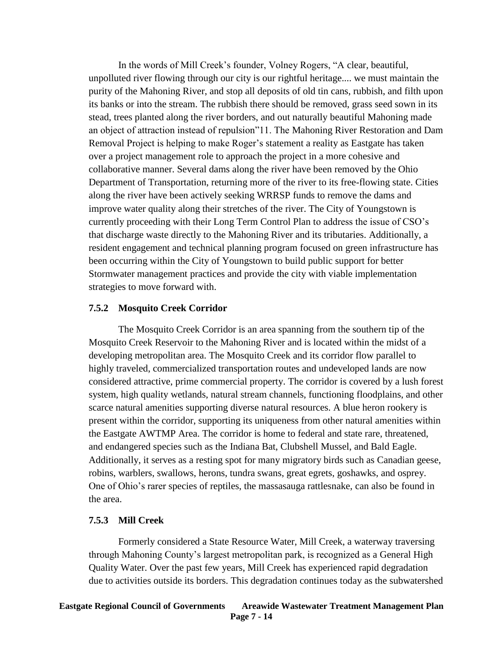In the words of Mill Creek's founder, Volney Rogers, "A clear, beautiful, unpolluted river flowing through our city is our rightful heritage.... we must maintain the purity of the Mahoning River, and stop all deposits of old tin cans, rubbish, and filth upon its banks or into the stream. The rubbish there should be removed, grass seed sown in its stead, trees planted along the river borders, and out naturally beautiful Mahoning made an object of attraction instead of repulsion"11. The Mahoning River Restoration and Dam Removal Project is helping to make Roger's statement a reality as Eastgate has taken over a project management role to approach the project in a more cohesive and collaborative manner. Several dams along the river have been removed by the Ohio Department of Transportation, returning more of the river to its free-flowing state. Cities along the river have been actively seeking WRRSP funds to remove the dams and improve water quality along their stretches of the river. The City of Youngstown is currently proceeding with their Long Term Control Plan to address the issue of CSO's that discharge waste directly to the Mahoning River and its tributaries. Additionally, a resident engagement and technical planning program focused on green infrastructure has been occurring within the City of Youngstown to build public support for better Stormwater management practices and provide the city with viable implementation strategies to move forward with.

### **7.5.2 Mosquito Creek Corridor**

The Mosquito Creek Corridor is an area spanning from the southern tip of the Mosquito Creek Reservoir to the Mahoning River and is located within the midst of a developing metropolitan area. The Mosquito Creek and its corridor flow parallel to highly traveled, commercialized transportation routes and undeveloped lands are now considered attractive, prime commercial property. The corridor is covered by a lush forest system, high quality wetlands, natural stream channels, functioning floodplains, and other scarce natural amenities supporting diverse natural resources. A blue heron rookery is present within the corridor, supporting its uniqueness from other natural amenities within the Eastgate AWTMP Area. The corridor is home to federal and state rare, threatened, and endangered species such as the Indiana Bat, Clubshell Mussel, and Bald Eagle. Additionally, it serves as a resting spot for many migratory birds such as Canadian geese, robins, warblers, swallows, herons, tundra swans, great egrets, goshawks, and osprey. One of Ohio's rarer species of reptiles, the massasauga rattlesnake, can also be found in the area.

### **7.5.3 Mill Creek**

Formerly considered a State Resource Water, Mill Creek, a waterway traversing through Mahoning County's largest metropolitan park, is recognized as a General High Quality Water. Over the past few years, Mill Creek has experienced rapid degradation due to activities outside its borders. This degradation continues today as the subwatershed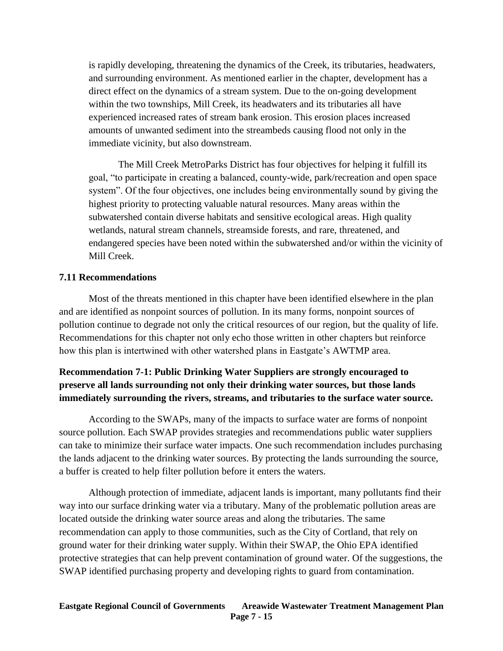is rapidly developing, threatening the dynamics of the Creek, its tributaries, headwaters, and surrounding environment. As mentioned earlier in the chapter, development has a direct effect on the dynamics of a stream system. Due to the on-going development within the two townships, Mill Creek, its headwaters and its tributaries all have experienced increased rates of stream bank erosion. This erosion places increased amounts of unwanted sediment into the streambeds causing flood not only in the immediate vicinity, but also downstream.

The Mill Creek MetroParks District has four objectives for helping it fulfill its goal, "to participate in creating a balanced, county-wide, park/recreation and open space system". Of the four objectives, one includes being environmentally sound by giving the highest priority to protecting valuable natural resources. Many areas within the subwatershed contain diverse habitats and sensitive ecological areas. High quality wetlands, natural stream channels, streamside forests, and rare, threatened, and endangered species have been noted within the subwatershed and/or within the vicinity of Mill Creek.

### **7.11 Recommendations**

Most of the threats mentioned in this chapter have been identified elsewhere in the plan and are identified as nonpoint sources of pollution. In its many forms, nonpoint sources of pollution continue to degrade not only the critical resources of our region, but the quality of life. Recommendations for this chapter not only echo those written in other chapters but reinforce how this plan is intertwined with other watershed plans in Eastgate's AWTMP area.

## **Recommendation 7-1: Public Drinking Water Suppliers are strongly encouraged to preserve all lands surrounding not only their drinking water sources, but those lands immediately surrounding the rivers, streams, and tributaries to the surface water source.**

According to the SWAPs, many of the impacts to surface water are forms of nonpoint source pollution. Each SWAP provides strategies and recommendations public water suppliers can take to minimize their surface water impacts. One such recommendation includes purchasing the lands adjacent to the drinking water sources. By protecting the lands surrounding the source, a buffer is created to help filter pollution before it enters the waters.

Although protection of immediate, adjacent lands is important, many pollutants find their way into our surface drinking water via a tributary. Many of the problematic pollution areas are located outside the drinking water source areas and along the tributaries. The same recommendation can apply to those communities, such as the City of Cortland, that rely on ground water for their drinking water supply. Within their SWAP, the Ohio EPA identified protective strategies that can help prevent contamination of ground water. Of the suggestions, the SWAP identified purchasing property and developing rights to guard from contamination.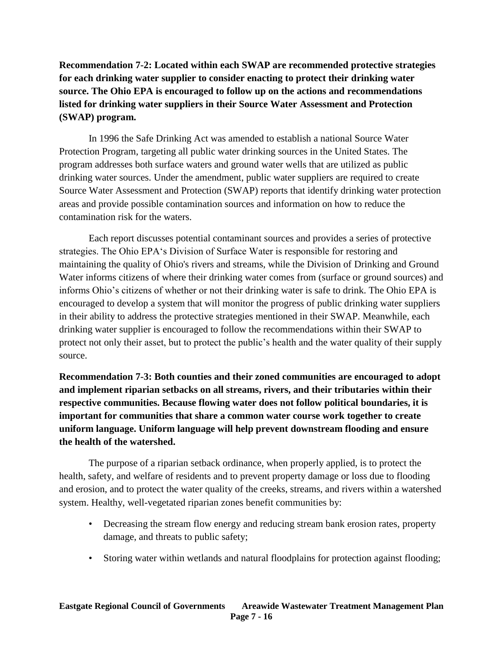**Recommendation 7-2: Located within each SWAP are recommended protective strategies for each drinking water supplier to consider enacting to protect their drinking water source. The Ohio EPA is encouraged to follow up on the actions and recommendations listed for drinking water suppliers in their Source Water Assessment and Protection (SWAP) program.**

In 1996 the Safe Drinking Act was amended to establish a national Source Water Protection Program, targeting all public water drinking sources in the United States. The program addresses both surface waters and ground water wells that are utilized as public drinking water sources. Under the amendment, public water suppliers are required to create Source Water Assessment and Protection (SWAP) reports that identify drinking water protection areas and provide possible contamination sources and information on how to reduce the contamination risk for the waters.

Each report discusses potential contaminant sources and provides a series of protective strategies. The Ohio EPA's Division of Surface Water is responsible for restoring and maintaining the quality of Ohio's rivers and streams, while the Division of Drinking and Ground Water informs citizens of where their drinking water comes from (surface or ground sources) and informs Ohio's citizens of whether or not their drinking water is safe to drink. The Ohio EPA is encouraged to develop a system that will monitor the progress of public drinking water suppliers in their ability to address the protective strategies mentioned in their SWAP. Meanwhile, each drinking water supplier is encouraged to follow the recommendations within their SWAP to protect not only their asset, but to protect the public's health and the water quality of their supply source.

**Recommendation 7-3: Both counties and their zoned communities are encouraged to adopt and implement riparian setbacks on all streams, rivers, and their tributaries within their respective communities. Because flowing water does not follow political boundaries, it is important for communities that share a common water course work together to create uniform language. Uniform language will help prevent downstream flooding and ensure the health of the watershed.**

The purpose of a riparian setback ordinance, when properly applied, is to protect the health, safety, and welfare of residents and to prevent property damage or loss due to flooding and erosion, and to protect the water quality of the creeks, streams, and rivers within a watershed system. Healthy, well-vegetated riparian zones benefit communities by:

- Decreasing the stream flow energy and reducing stream bank erosion rates, property damage, and threats to public safety;
- Storing water within wetlands and natural floodplains for protection against flooding;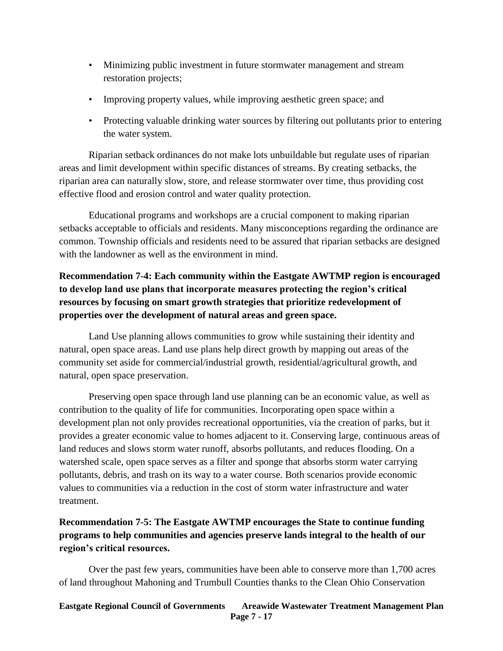- Minimizing public investment in future stormwater management and stream restoration projects;
- Improving property values, while improving aesthetic green space; and
- Protecting valuable drinking water sources by filtering out pollutants prior to entering the water system.

Riparian setback ordinances do not make lots unbuildable but regulate uses of riparian areas and limit development within specific distances of streams. By creating setbacks, the riparian area can naturally slow, store, and release stormwater over time, thus providing cost effective flood and erosion control and water quality protection.

Educational programs and workshops are a crucial component to making riparian setbacks acceptable to officials and residents. Many misconceptions regarding the ordinance are common. Township officials and residents need to be assured that riparian setbacks are designed with the landowner as well as the environment in mind.

# **Recommendation 7-4: Each community within the Eastgate AWTMP region is encouraged to develop land use plans that incorporate measures protecting the region's critical resources by focusing on smart growth strategies that prioritize redevelopment of properties over the development of natural areas and green space.**

Land Use planning allows communities to grow while sustaining their identity and natural, open space areas. Land use plans help direct growth by mapping out areas of the community set aside for commercial/industrial growth, residential/agricultural growth, and natural, open space preservation.

Preserving open space through land use planning can be an economic value, as well as contribution to the quality of life for communities. Incorporating open space within a development plan not only provides recreational opportunities, via the creation of parks, but it provides a greater economic value to homes adjacent to it. Conserving large, continuous areas of land reduces and slows storm water runoff, absorbs pollutants, and reduces flooding. On a watershed scale, open space serves as a filter and sponge that absorbs storm water carrying pollutants, debris, and trash on its way to a water course. Both scenarios provide economic values to communities via a reduction in the cost of storm water infrastructure and water treatment.

# **Recommendation 7-5: The Eastgate AWTMP encourages the State to continue funding programs to help communities and agencies preserve lands integral to the health of our region's critical resources.**

Over the past few years, communities have been able to conserve more than 1,700 acres of land throughout Mahoning and Trumbull Counties thanks to the Clean Ohio Conservation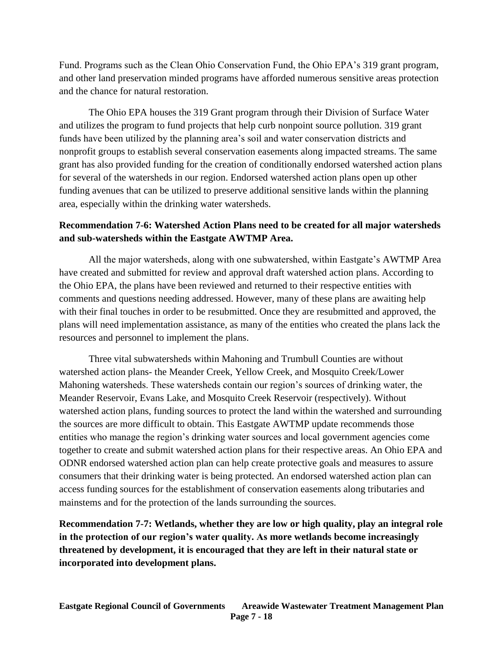Fund. Programs such as the Clean Ohio Conservation Fund, the Ohio EPA's 319 grant program, and other land preservation minded programs have afforded numerous sensitive areas protection and the chance for natural restoration.

The Ohio EPA houses the 319 Grant program through their Division of Surface Water and utilizes the program to fund projects that help curb nonpoint source pollution. 319 grant funds have been utilized by the planning area's soil and water conservation districts and nonprofit groups to establish several conservation easements along impacted streams. The same grant has also provided funding for the creation of conditionally endorsed watershed action plans for several of the watersheds in our region. Endorsed watershed action plans open up other funding avenues that can be utilized to preserve additional sensitive lands within the planning area, especially within the drinking water watersheds.

## **Recommendation 7-6: Watershed Action Plans need to be created for all major watersheds and sub-watersheds within the Eastgate AWTMP Area.**

All the major watersheds, along with one subwatershed, within Eastgate's AWTMP Area have created and submitted for review and approval draft watershed action plans. According to the Ohio EPA, the plans have been reviewed and returned to their respective entities with comments and questions needing addressed. However, many of these plans are awaiting help with their final touches in order to be resubmitted. Once they are resubmitted and approved, the plans will need implementation assistance, as many of the entities who created the plans lack the resources and personnel to implement the plans.

Three vital subwatersheds within Mahoning and Trumbull Counties are without watershed action plans- the Meander Creek, Yellow Creek, and Mosquito Creek/Lower Mahoning watersheds. These watersheds contain our region's sources of drinking water, the Meander Reservoir, Evans Lake, and Mosquito Creek Reservoir (respectively). Without watershed action plans, funding sources to protect the land within the watershed and surrounding the sources are more difficult to obtain. This Eastgate AWTMP update recommends those entities who manage the region's drinking water sources and local government agencies come together to create and submit watershed action plans for their respective areas. An Ohio EPA and ODNR endorsed watershed action plan can help create protective goals and measures to assure consumers that their drinking water is being protected. An endorsed watershed action plan can access funding sources for the establishment of conservation easements along tributaries and mainstems and for the protection of the lands surrounding the sources.

**Recommendation 7-7: Wetlands, whether they are low or high quality, play an integral role in the protection of our region's water quality. As more wetlands become increasingly threatened by development, it is encouraged that they are left in their natural state or incorporated into development plans.**